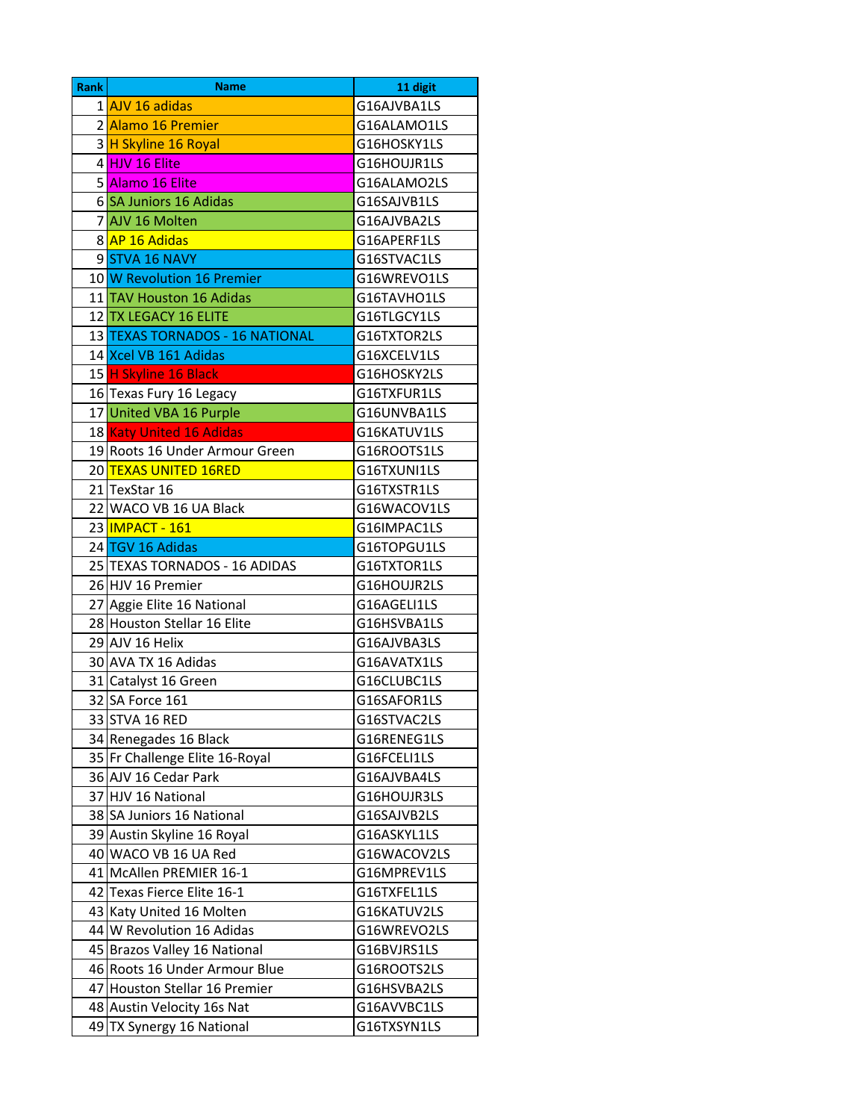| <b>Rank</b> | <b>Name</b>                     | 11 digit    |
|-------------|---------------------------------|-------------|
|             | 1 AJV 16 adidas                 | G16AJVBA1LS |
|             | 2 Alamo 16 Premier              | G16ALAMO1LS |
|             | 3 H Skyline 16 Royal            | G16HOSKY1LS |
|             | 4 HJV 16 Elite                  | G16HOUJR1LS |
|             | 5 Alamo 16 Elite                | G16ALAMO2LS |
|             | 6 SA Juniors 16 Adidas          | G16SAJVB1LS |
|             | 7 AJV 16 Molten                 | G16AJVBA2LS |
|             | 8 AP 16 Adidas                  | G16APERF1LS |
|             | 9STVA 16 NAVY                   | G16STVAC1LS |
|             | 10 W Revolution 16 Premier      | G16WREVO1LS |
|             | 11 TAV Houston 16 Adidas        | G16TAVHO1LS |
|             | 12 TX LEGACY 16 ELITE           | G16TLGCY1LS |
|             | 13 TEXAS TORNADOS - 16 NATIONAL | G16TXTOR2LS |
|             | 14 Xcel VB 161 Adidas           | G16XCELV1LS |
|             | 15 H Skyline 16 Black           | G16HOSKY2LS |
|             | 16 Texas Fury 16 Legacy         | G16TXFUR1LS |
|             | 17 United VBA 16 Purple         | G16UNVBA1LS |
|             | 18 Katy United 16 Adidas        | G16KATUV1LS |
|             | 19 Roots 16 Under Armour Green  | G16ROOTS1LS |
|             | 20 TEXAS UNITED 16RED           | G16TXUNI1LS |
|             | 21 TexStar 16                   | G16TXSTR1LS |
|             | 22 WACO VB 16 UA Black          | G16WACOV1LS |
|             | 23 MPACT - 161                  | G16IMPAC1LS |
|             | 24 TGV 16 Adidas                | G16TOPGU1LS |
|             | 25 TEXAS TORNADOS - 16 ADIDAS   | G16TXTOR1LS |
|             | 26 HJV 16 Premier               | G16HOUJR2LS |
|             | 27 Aggie Elite 16 National      | G16AGELI1LS |
|             | 28 Houston Stellar 16 Elite     | G16HSVBA1LS |
|             | 29 AJV 16 Helix                 | G16AJVBA3LS |
|             | 30 AVA TX 16 Adidas             | G16AVATX1LS |
|             | 31 Catalyst 16 Green            | G16CLUBC1LS |
|             | 32 SA Force 161                 | G16SAFOR1LS |
|             | 33 STVA 16 RED                  | G16STVAC2LS |
|             | 34 Renegades 16 Black           | G16RENEG1LS |
|             | 35 Fr Challenge Elite 16-Royal  | G16FCELI1LS |
|             | 36 AJV 16 Cedar Park            | G16AJVBA4LS |
|             | 37 HJV 16 National              | G16HOUJR3LS |
|             | 38 SA Juniors 16 National       | G16SAJVB2LS |
|             | 39 Austin Skyline 16 Royal      | G16ASKYL1LS |
|             | 40 WACO VB 16 UA Red            | G16WACOV2LS |
|             | 41 McAllen PREMIER 16-1         | G16MPREV1LS |
|             | 42 Texas Fierce Elite 16-1      | G16TXFEL1LS |
|             | 43 Katy United 16 Molten        | G16KATUV2LS |
|             | 44 W Revolution 16 Adidas       | G16WREVO2LS |
|             | 45 Brazos Valley 16 National    | G16BVJRS1LS |
|             | 46 Roots 16 Under Armour Blue   | G16ROOTS2LS |
|             | 47 Houston Stellar 16 Premier   | G16HSVBA2LS |
|             | 48 Austin Velocity 16s Nat      | G16AVVBC1LS |
|             | 49 TX Synergy 16 National       | G16TXSYN1LS |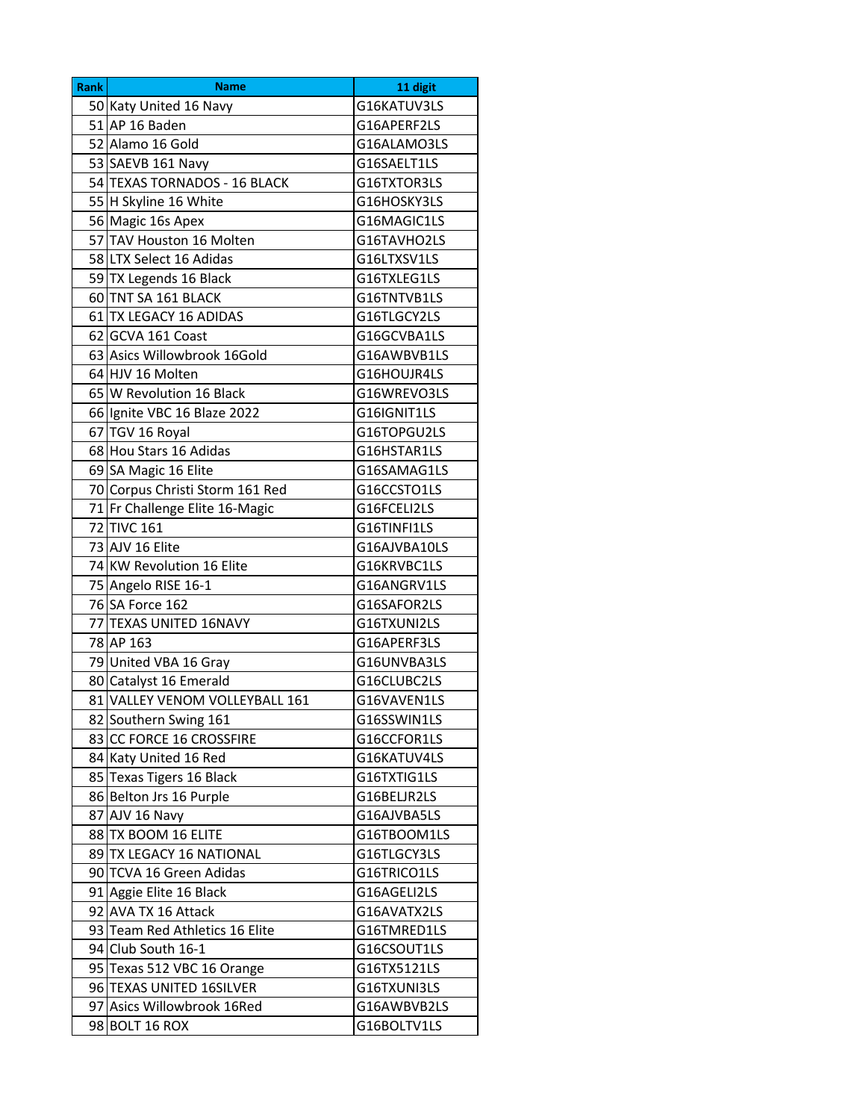| <b>Rank</b> | <b>Name</b>                     | 11 digit     |
|-------------|---------------------------------|--------------|
|             | 50 Katy United 16 Navy          | G16KATUV3LS  |
|             | 51 AP 16 Baden                  | G16APERF2LS  |
|             | 52 Alamo 16 Gold                | G16ALAMO3LS  |
|             | 53 SAEVB 161 Navy               | G16SAELT1LS  |
|             | 54 TEXAS TORNADOS - 16 BLACK    | G16TXTOR3LS  |
|             | 55 H Skyline 16 White           | G16HOSKY3LS  |
|             | 56 Magic 16s Apex               | G16MAGIC1LS  |
|             | 57 TAV Houston 16 Molten        | G16TAVHO2LS  |
|             | 58 LTX Select 16 Adidas         | G16LTXSV1LS  |
|             | 59 TX Legends 16 Black          | G16TXLEG1LS  |
|             | 60 TNT SA 161 BLACK             | G16TNTVB1LS  |
|             | 61 TX LEGACY 16 ADIDAS          | G16TLGCY2LS  |
|             | 62 GCVA 161 Coast               | G16GCVBA1LS  |
|             | 63 Asics Willowbrook 16Gold     | G16AWBVB1LS  |
|             | 64 HJV 16 Molten                | G16HOUJR4LS  |
|             | 65 W Revolution 16 Black        | G16WREVO3LS  |
|             | 66 Ignite VBC 16 Blaze 2022     | G16IGNIT1LS  |
|             | 67 TGV 16 Royal                 | G16TOPGU2LS  |
|             | 68 Hou Stars 16 Adidas          | G16HSTAR1LS  |
|             | 69 SA Magic 16 Elite            | G16SAMAG1LS  |
|             | 70 Corpus Christi Storm 161 Red | G16CCSTO1LS  |
|             | 71 Fr Challenge Elite 16-Magic  | G16FCELI2LS  |
|             | 72 TIVC 161                     | G16TINFI1LS  |
|             | 73 AJV 16 Elite                 | G16AJVBA10LS |
|             | 74 KW Revolution 16 Elite       | G16KRVBC1LS  |
|             | 75 Angelo RISE 16-1             | G16ANGRV1LS  |
|             | 76 SA Force 162                 | G16SAFOR2LS  |
|             | 77 TEXAS UNITED 16NAVY          | G16TXUNI2LS  |
|             | 78 AP 163                       | G16APERF3LS  |
|             | 79 United VBA 16 Gray           | G16UNVBA3LS  |
|             | 80 Catalyst 16 Emerald          | G16CLUBC2LS  |
|             | 81 VALLEY VENOM VOLLEYBALL 161  | G16VAVEN1LS  |
|             | 82 Southern Swing 161           | G16SSWIN1LS  |
|             | 83 CC FORCE 16 CROSSFIRE        | G16CCFOR1LS  |
|             | 84 Katy United 16 Red           | G16KATUV4LS  |
|             | 85 Texas Tigers 16 Black        | G16TXTIG1LS  |
|             | 86 Belton Jrs 16 Purple         | G16BELJR2LS  |
|             | 87 AJV 16 Navy                  | G16AJVBA5LS  |
|             | 88 TX BOOM 16 ELITE             | G16TBOOM1LS  |
|             | 89 TX LEGACY 16 NATIONAL        | G16TLGCY3LS  |
|             | 90 TCVA 16 Green Adidas         | G16TRICO1LS  |
|             | 91 Aggie Elite 16 Black         | G16AGELI2LS  |
|             | 92 AVA TX 16 Attack             | G16AVATX2LS  |
|             | 93 Team Red Athletics 16 Elite  | G16TMRED1LS  |
|             | 94 Club South 16-1              | G16CSOUT1LS  |
|             | 95 Texas 512 VBC 16 Orange      | G16TX5121LS  |
|             | 96 TEXAS UNITED 16SILVER        | G16TXUNI3LS  |
|             | 97 Asics Willowbrook 16Red      | G16AWBVB2LS  |
|             | 98 BOLT 16 ROX                  | G16BOLTV1LS  |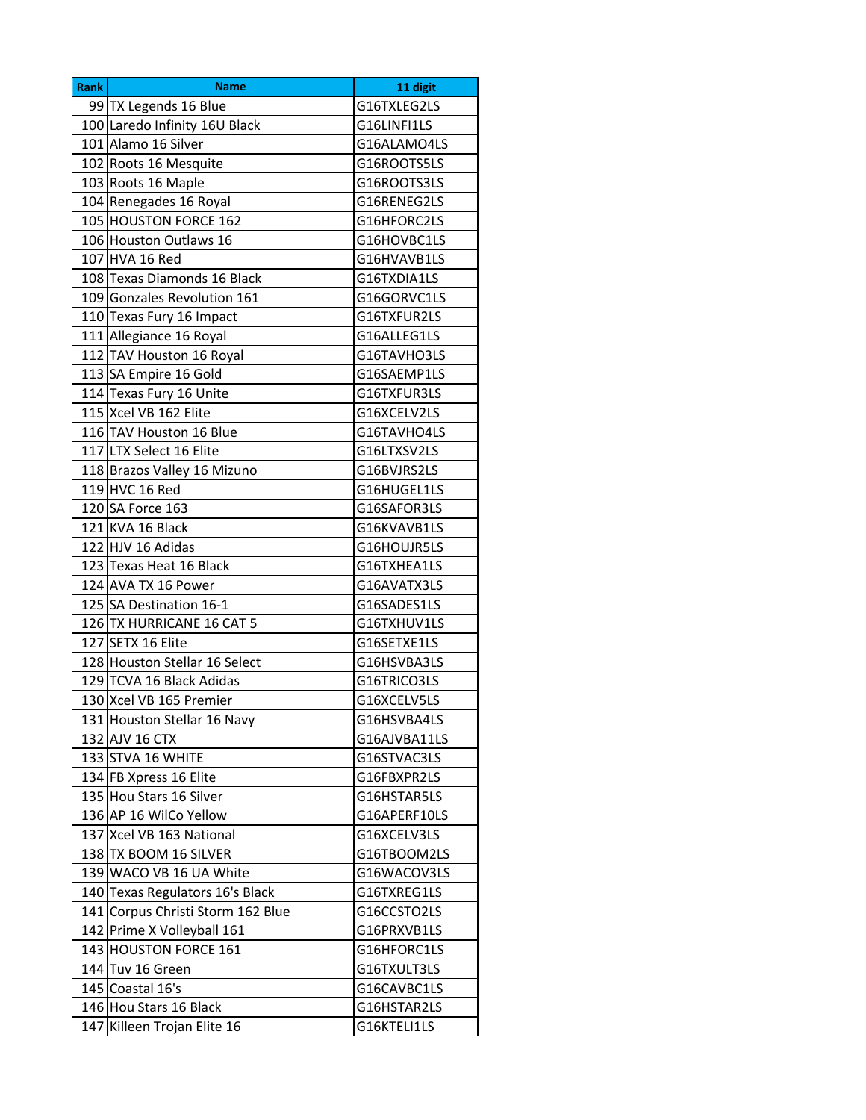| Rank | <b>Name</b>                       | 11 digit     |
|------|-----------------------------------|--------------|
|      | 99 TX Legends 16 Blue             | G16TXLEG2LS  |
|      | 100 Laredo Infinity 16U Black     | G16LINFI1LS  |
|      | 101 Alamo 16 Silver               | G16ALAMO4LS  |
|      | 102 Roots 16 Mesquite             | G16ROOTS5LS  |
|      | 103 Roots 16 Maple                | G16ROOTS3LS  |
|      | 104 Renegades 16 Royal            | G16RENEG2LS  |
|      | 105 HOUSTON FORCE 162             | G16HFORC2LS  |
|      | 106 Houston Outlaws 16            | G16HOVBC1LS  |
|      | 107 HVA 16 Red                    | G16HVAVB1LS  |
|      | 108 Texas Diamonds 16 Black       | G16TXDIA1LS  |
|      | 109 Gonzales Revolution 161       | G16GORVC1LS  |
|      | 110 Texas Fury 16 Impact          | G16TXFUR2LS  |
|      | 111 Allegiance 16 Royal           | G16ALLEG1LS  |
|      | 112 TAV Houston 16 Royal          | G16TAVHO3LS  |
|      | 113 SA Empire 16 Gold             | G16SAEMP1LS  |
|      | 114 Texas Fury 16 Unite           | G16TXFUR3LS  |
|      | 115 Xcel VB 162 Elite             | G16XCELV2LS  |
|      | 116 TAV Houston 16 Blue           | G16TAVHO4LS  |
|      | 117 LTX Select 16 Elite           | G16LTXSV2LS  |
|      | 118 Brazos Valley 16 Mizuno       | G16BVJRS2LS  |
|      | 119 HVC 16 Red                    | G16HUGEL1LS  |
|      | 120 SA Force 163                  | G16SAFOR3LS  |
|      | 121 KVA 16 Black                  | G16KVAVB1LS  |
|      | 122 HJV 16 Adidas                 | G16HOUJR5LS  |
|      | 123 Texas Heat 16 Black           | G16TXHEA1LS  |
|      | 124 AVA TX 16 Power               | G16AVATX3LS  |
|      | 125 SA Destination 16-1           | G16SADES1LS  |
|      | 126 TX HURRICANE 16 CAT 5         | G16TXHUV1LS  |
|      | 127 SETX 16 Elite                 | G16SETXE1LS  |
|      | 128 Houston Stellar 16 Select     | G16HSVBA3LS  |
|      | 129 TCVA 16 Black Adidas          | G16TRICO3LS  |
|      | 130 Xcel VB 165 Premier           | G16XCELV5LS  |
|      | 131 Houston Stellar 16 Navy       | G16HSVBA4LS  |
|      | 132 AJV 16 CTX                    | G16AJVBA11LS |
|      | 133 STVA 16 WHITE                 | G16STVAC3LS  |
|      | 134 FB Xpress 16 Elite            | G16FBXPR2LS  |
|      | 135 Hou Stars 16 Silver           | G16HSTAR5LS  |
|      | 136 AP 16 WilCo Yellow            | G16APERF10LS |
|      | 137 Xcel VB 163 National          | G16XCELV3LS  |
|      | 138 TX BOOM 16 SILVER             | G16TBOOM2LS  |
|      | 139 WACO VB 16 UA White           | G16WACOV3LS  |
|      | 140 Texas Regulators 16's Black   | G16TXREG1LS  |
|      | 141 Corpus Christi Storm 162 Blue | G16CCSTO2LS  |
|      | 142 Prime X Volleyball 161        | G16PRXVB1LS  |
|      | 143 HOUSTON FORCE 161             | G16HFORC1LS  |
|      | 144 Tuv 16 Green                  | G16TXULT3LS  |
|      | 145 Coastal 16's                  | G16CAVBC1LS  |
|      | 146 Hou Stars 16 Black            | G16HSTAR2LS  |
| 147  | Killeen Trojan Elite 16           | G16KTELI1LS  |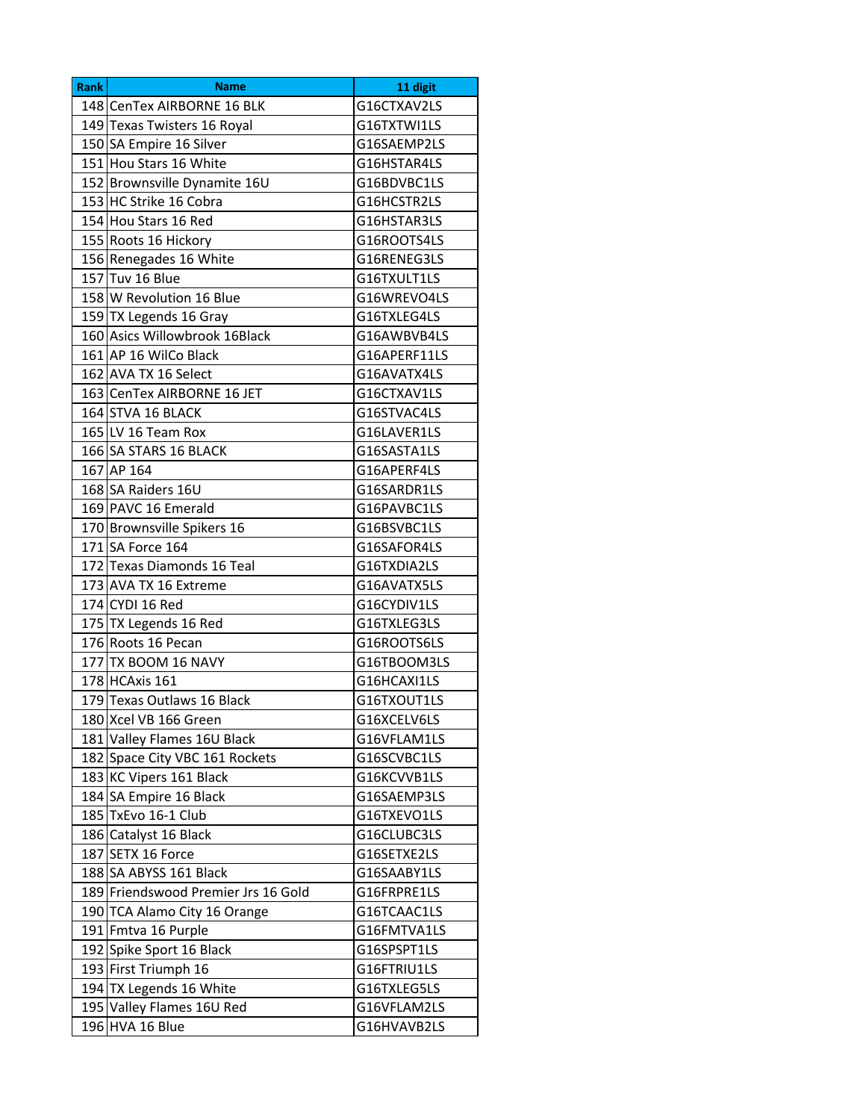| <b>Rank</b> | <b>Name</b>                         | 11 digit     |
|-------------|-------------------------------------|--------------|
|             | 148 CenTex AIRBORNE 16 BLK          | G16CTXAV2LS  |
|             | 149 Texas Twisters 16 Royal         | G16TXTWI1LS  |
|             | 150 SA Empire 16 Silver             | G16SAEMP2LS  |
|             | 151 Hou Stars 16 White              | G16HSTAR4LS  |
|             | 152 Brownsville Dynamite 16U        | G16BDVBC1LS  |
|             | 153 HC Strike 16 Cobra              | G16HCSTR2LS  |
|             | 154 Hou Stars 16 Red                | G16HSTAR3LS  |
|             | 155 Roots 16 Hickory                | G16ROOTS4LS  |
|             | 156 Renegades 16 White              | G16RENEG3LS  |
|             | 157 Tuv 16 Blue                     | G16TXULT1LS  |
|             | 158 W Revolution 16 Blue            | G16WREVO4LS  |
|             | 159 TX Legends 16 Gray              | G16TXLEG4LS  |
|             | 160 Asics Willowbrook 16Black       | G16AWBVB4LS  |
|             | 161 AP 16 WilCo Black               | G16APERF11LS |
|             | 162 AVA TX 16 Select                | G16AVATX4LS  |
|             | 163 CenTex AIRBORNE 16 JET          | G16CTXAV1LS  |
|             | 164 STVA 16 BLACK                   | G16STVAC4LS  |
|             | 165 LV 16 Team Rox                  | G16LAVER1LS  |
|             | 166 SA STARS 16 BLACK               | G16SASTA1LS  |
|             | 167 AP 164                          | G16APERF4LS  |
|             | 168 SA Raiders 16U                  | G16SARDR1LS  |
|             | 169 PAVC 16 Emerald                 | G16PAVBC1LS  |
|             | 170 Brownsville Spikers 16          | G16BSVBC1LS  |
|             | 171 SA Force 164                    | G16SAFOR4LS  |
|             | 172 Texas Diamonds 16 Teal          | G16TXDIA2LS  |
|             | 173 AVA TX 16 Extreme               | G16AVATX5LS  |
|             | 174 CYDI 16 Red                     | G16CYDIV1LS  |
|             | 175 TX Legends 16 Red               | G16TXLEG3LS  |
|             | 176 Roots 16 Pecan                  | G16ROOTS6LS  |
|             | 177 TX BOOM 16 NAVY                 | G16TBOOM3LS  |
|             | 178 HCAxis 161                      | G16HCAXI1LS  |
|             | 179 Texas Outlaws 16 Black          | G16TXOUT1LS  |
|             | 180 Xcel VB 166 Green               | G16XCELV6LS  |
|             | 181 Valley Flames 16U Black         | G16VFLAM1LS  |
|             | 182 Space City VBC 161 Rockets      | G16SCVBC1LS  |
|             | 183 KC Vipers 161 Black             | G16KCVVB1LS  |
|             | 184 SA Empire 16 Black              | G16SAEMP3LS  |
|             | 185 TxEvo 16-1 Club                 | G16TXEVO1LS  |
|             | 186 Catalyst 16 Black               | G16CLUBC3LS  |
|             | 187 SETX 16 Force                   | G16SETXE2LS  |
|             | 188 SA ABYSS 161 Black              | G16SAABY1LS  |
|             | 189 Friendswood Premier Jrs 16 Gold | G16FRPRE1LS  |
|             | 190 TCA Alamo City 16 Orange        | G16TCAAC1LS  |
|             | 191 Fmtva 16 Purple                 | G16FMTVA1LS  |
|             | 192 Spike Sport 16 Black            | G16SPSPT1LS  |
|             | 193 First Triumph 16                | G16FTRIU1LS  |
|             | 194 TX Legends 16 White             | G16TXLEG5LS  |
|             | 195 Valley Flames 16U Red           | G16VFLAM2LS  |
|             | 196 HVA 16 Blue                     | G16HVAVB2LS  |